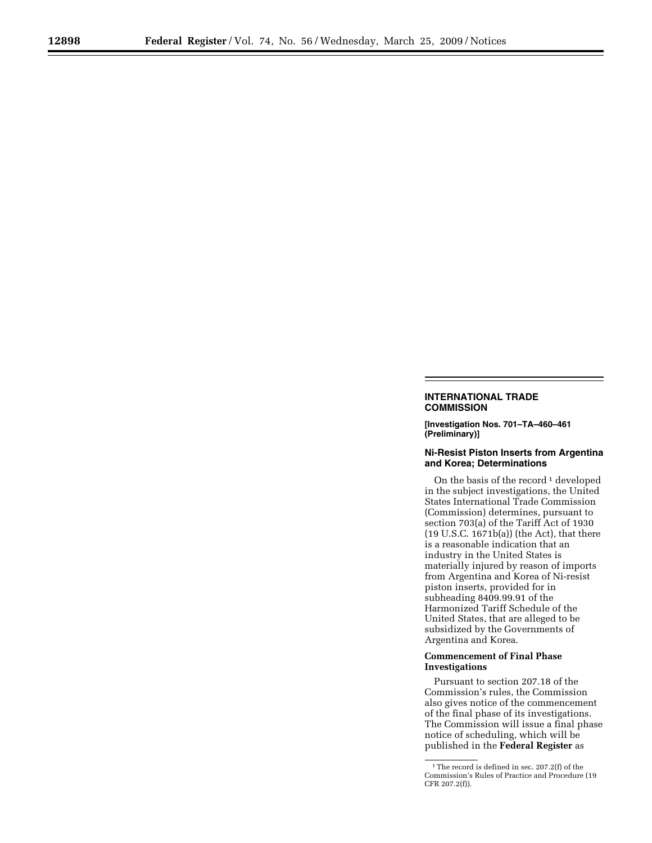# **INTERNATIONAL TRADE COMMISSION**

**[Investigation Nos. 701–TA–460–461 (Preliminary)]** 

## **Ni-Resist Piston Inserts from Argentina and Korea; Determinations**

On the basis of the record<sup>1</sup> developed in the subject investigations, the United States International Trade Commission (Commission) determines, pursuant to section 703(a) of the Tariff Act of 1930 (19 U.S.C. 1671b(a)) (the Act), that there is a reasonable indication that an industry in the United States is materially injured by reason of imports from Argentina and Korea of Ni-resist piston inserts, provided for in subheading 8409.99.91 of the Harmonized Tariff Schedule of the United States, that are alleged to be subsidized by the Governments of Argentina and Korea.

### **Commencement of Final Phase Investigations**

Pursuant to section 207.18 of the Commission's rules, the Commission also gives notice of the commencement of the final phase of its investigations. The Commission will issue a final phase notice of scheduling, which will be published in the **Federal Register** as

<sup>&</sup>lt;sup>1</sup>The record is defined in sec. 207.2(f) of the Commission's Rules of Practice and Procedure (19 CFR 207.2(f)).